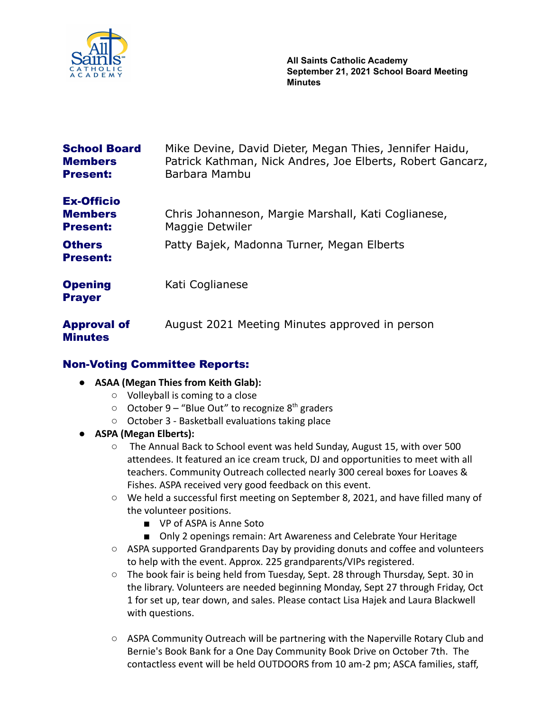

| <b>School Board</b><br><b>Members</b><br><b>Present:</b> | Mike Devine, David Dieter, Megan Thies, Jennifer Haidu,<br>Patrick Kathman, Nick Andres, Joe Elberts, Robert Gancarz,<br>Barbara Mambu |
|----------------------------------------------------------|----------------------------------------------------------------------------------------------------------------------------------------|
| <b>Ex-Officio</b><br><b>Members</b><br><b>Present:</b>   | Chris Johanneson, Margie Marshall, Kati Coglianese,<br>Maggie Detwiler                                                                 |
| <b>Others</b><br><b>Present:</b>                         | Patty Bajek, Madonna Turner, Megan Elberts                                                                                             |
| <b>Opening</b><br><b>Prayer</b>                          | Kati Coglianese                                                                                                                        |
| <b>Approval of</b><br><b>Minutes</b>                     | August 2021 Meeting Minutes approved in person                                                                                         |

### Non-Voting Committee Reports:

- **● ASAA (Megan Thies from Keith Glab):**
	- Volleyball is coming to a close
	- $\circ$  October 9 "Blue Out" to recognize 8<sup>th</sup> graders
	- October 3 Basketball evaluations taking place
- **● ASPA (Megan Elberts):**
	- The Annual Back to School event was held Sunday, August 15, with over 500 attendees. It featured an ice cream truck, DJ and opportunities to meet with all teachers. Community Outreach collected nearly 300 cereal boxes for Loaves & Fishes. ASPA received very good feedback on this event.
	- We held a successful first meeting on September 8, 2021, and have filled many of the volunteer positions.
		- VP of ASPA is Anne Soto
		- Only 2 openings remain: Art Awareness and Celebrate Your Heritage
	- ASPA supported Grandparents Day by providing donuts and coffee and volunteers to help with the event. Approx. 225 grandparents/VIPs registered.
	- The book fair is being held from Tuesday, Sept. 28 through Thursday, Sept. 30 in the library. Volunteers are needed beginning Monday, Sept 27 through Friday, Oct 1 for set up, tear down, and sales. Please contact Lisa Hajek and Laura Blackwell with questions.
	- $\circ$  ASPA Community Outreach will be partnering with the Naperville Rotary Club and Bernie's Book Bank for a One Day Community Book Drive on October 7th. The contactless event will be held OUTDOORS from 10 am-2 pm; ASCA families, staff,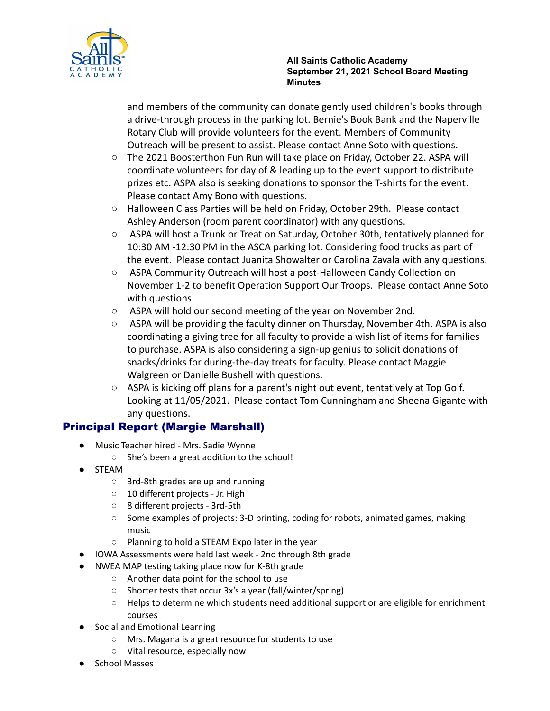

and members of the community can donate gently used children's books through a drive-through process in the parking lot. Bernie's Book Bank and the Naperville Rotary Club will provide volunteers for the event. Members of Community Outreach will be present to assist. Please contact Anne Soto with questions.

- The 2021 Boosterthon Fun Run will take place on Friday, October 22. ASPA will coordinate volunteers for day of & leading up to the event support to distribute prizes etc. ASPA also is seeking donations to sponsor the T-shirts for the event. Please contact Amy Bono with questions.
- Halloween Class Parties will be held on Friday, October 29th. Please contact Ashley Anderson (room parent coordinator) with any questions.
- ASPA will host a Trunk or Treat on Saturday, October 30th, tentatively planned for 10:30 AM -12:30 PM in the ASCA parking lot. Considering food trucks as part of the event. Please contact Juanita Showalter or Carolina Zavala with any questions.
- ASPA Community Outreach will host a post-Halloween Candy Collection on November 1-2 to benefit Operation Support Our Troops. Please contact Anne Soto with questions.
- ASPA will hold our second meeting of the year on November 2nd.
- $\circ$  ASPA will be providing the faculty dinner on Thursday, November 4th. ASPA is also coordinating a giving tree for all faculty to provide a wish list of items for families to purchase. ASPA is also considering a sign-up genius to solicit donations of snacks/drinks for during-the-day treats for faculty. Please contact Maggie Walgreen or Danielle Bushell with questions.
- $\circ$  ASPA is kicking off plans for a parent's night out event, tentatively at Top Golf. Looking at 11/05/2021. Please contact Tom Cunningham and Sheena Gigante with any questions.

# Principal Report (Margie Marshall)

- Music Teacher hired Mrs. Sadie Wynne
	- She's been a great addition to the school!
- **STEAM** 
	- 3rd-8th grades are up and running
	- 10 different projects Jr. High
	- 8 different projects 3rd-5th
	- Some examples of projects: 3-D printing, coding for robots, animated games, making music
	- Planning to hold a STEAM Expo later in the year
- IOWA Assessments were held last week 2nd through 8th grade
- NWEA MAP testing taking place now for K-8th grade
	- Another data point for the school to use
	- Shorter tests that occur 3x's a year (fall/winter/spring)
	- Helps to determine which students need additional support or are eligible for enrichment courses
- Social and Emotional Learning
	- Mrs. Magana is a great resource for students to use
	- Vital resource, especially now
- School Masses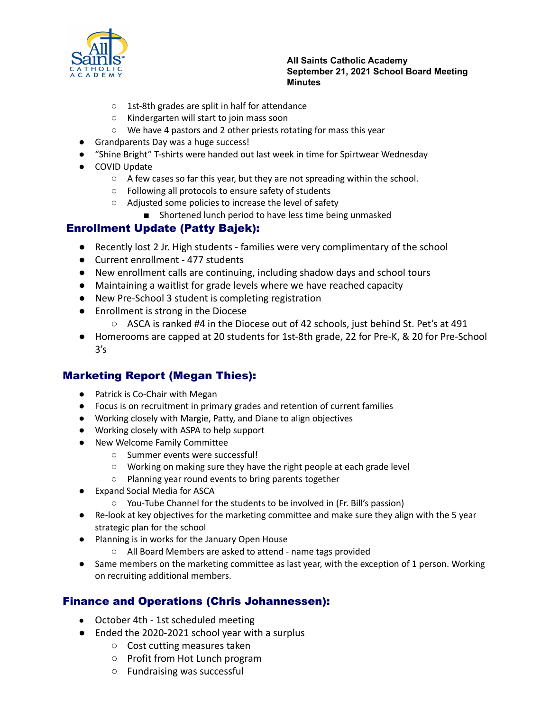

- 1st-8th grades are split in half for attendance
- Kindergarten will start to join mass soon
- We have 4 pastors and 2 other priests rotating for mass this year
- Grandparents Day was a huge success!
- "Shine Bright" T-shirts were handed out last week in time for Spirtwear Wednesday
- COVID Update
	- A few cases so far this year, but they are not spreading within the school.
	- Following all protocols to ensure safety of students
	- Adjusted some policies to increase the level of safety
		- Shortened lunch period to have less time being unmasked

### Enrollment Update (Patty Bajek):

- Recently lost 2 Jr. High students families were very complimentary of the school
- Current enrollment 477 students
- New enrollment calls are continuing, including shadow days and school tours
- Maintaining a waitlist for grade levels where we have reached capacity
- New Pre-School 3 student is completing registration
- Enrollment is strong in the Diocese
	- $\circ$  ASCA is ranked #4 in the Diocese out of 42 schools, just behind St. Pet's at 491
- Homerooms are capped at 20 students for 1st-8th grade, 22 for Pre-K, & 20 for Pre-School  $3's$

### Marketing Report (Megan Thies):

- Patrick is Co-Chair with Megan
- Focus is on recruitment in primary grades and retention of current families
- Working closely with Margie, Patty, and Diane to align objectives
- Working closely with ASPA to help support
- New Welcome Family Committee
	- Summer events were successful!
	- Working on making sure they have the right people at each grade level
	- Planning year round events to bring parents together
- Expand Social Media for ASCA
	- You-Tube Channel for the students to be involved in (Fr. Bill's passion)
- Re-look at key objectives for the marketing committee and make sure they align with the 5 year strategic plan for the school
- Planning is in works for the January Open House
	- All Board Members are asked to attend name tags provided
- Same members on the marketing committee as last year, with the exception of 1 person. Working on recruiting additional members.

### Finance and Operations (Chris Johannessen):

- October 4th 1st scheduled meeting
- Ended the 2020-2021 school year with a surplus
	- Cost cutting measures taken
	- Profit from Hot Lunch program
	- Fundraising was successful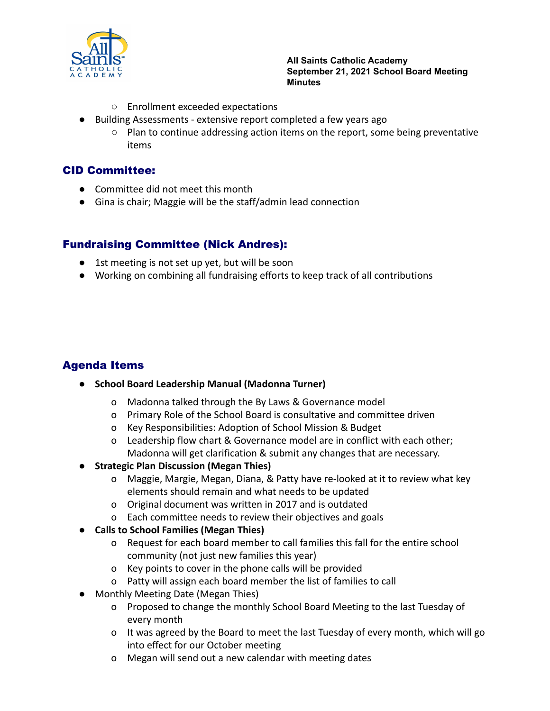

- Enrollment exceeded expectations
- Building Assessments extensive report completed a few years ago
	- $\circ$  Plan to continue addressing action items on the report, some being preventative items

#### CID Committee:

- Committee did not meet this month
- Gina is chair; Maggie will be the staff/admin lead connection

## Fundraising Committee (Nick Andres):

- 1st meeting is not set up yet, but will be soon
- Working on combining all fundraising efforts to keep track of all contributions

# Agenda Items

- **● School Board Leadership Manual (Madonna Turner)**
	- o Madonna talked through the By Laws & Governance model
	- o Primary Role of the School Board is consultative and committee driven
	- o Key Responsibilities: Adoption of School Mission & Budget
	- o Leadership flow chart & Governance model are in conflict with each other; Madonna will get clarification & submit any changes that are necessary.
- **● Strategic Plan Discussion (Megan Thies)**
	- o Maggie, Margie, Megan, Diana, & Patty have re-looked at it to review what key elements should remain and what needs to be updated
	- o Original document was written in 2017 and is outdated
	- o Each committee needs to review their objectives and goals
- **● Calls to School Families (Megan Thies)**
	- o Request for each board member to call families this fall for the entire school community (not just new families this year)
	- o Key points to cover in the phone calls will be provided
	- o Patty will assign each board member the list of families to call
- Monthly Meeting Date (Megan Thies)
	- o Proposed to change the monthly School Board Meeting to the last Tuesday of every month
	- o It was agreed by the Board to meet the last Tuesday of every month, which will go into effect for our October meeting
	- o Megan will send out a new calendar with meeting dates